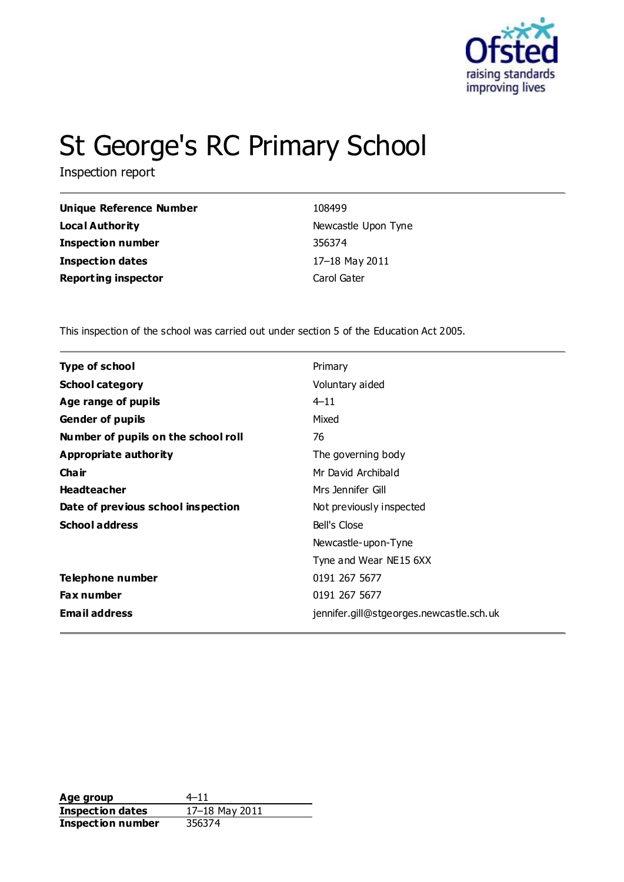

# St George's RC Primary School

Inspection report

| <b>Unique Reference Number</b> | 108499              |
|--------------------------------|---------------------|
| Loca l Authority               | Newcastle Upon Tyne |
| Inspection number              | 356374              |
| <b>Inspection dates</b>        | 17-18 May 2011      |
| <b>Reporting inspector</b>     | Carol Gater         |
|                                |                     |

This inspection of the school was carried out under section 5 of the Education Act 2005.

| <b>Type of school</b>               | Primary                                  |
|-------------------------------------|------------------------------------------|
| <b>School category</b>              | Voluntary aided                          |
| Age range of pupils                 | $4 - 11$                                 |
| <b>Gender of pupils</b>             | Mixed                                    |
| Number of pupils on the school roll | 76                                       |
| Appropriate authority               | The governing body                       |
| Cha ir                              | Mr David Archibald                       |
| <b>Headteacher</b>                  | Mrs Jennifer Gill                        |
| Date of previous school inspection  | Not previously inspected                 |
| <b>School address</b>               | Bell's Close                             |
|                                     | Newcastle-upon-Tyne                      |
|                                     | Tyne and Wear NE15 6XX                   |
| Telephone number                    | 0191 267 5677                            |
| <b>Fax number</b>                   | 0191 267 5677                            |
| <b>Email address</b>                | jennifer.gill@stgeorges.newcastle.sch.uk |

Age group  $4-11$ **Inspection dates** 17–18 May 2011 **Inspection number** 356374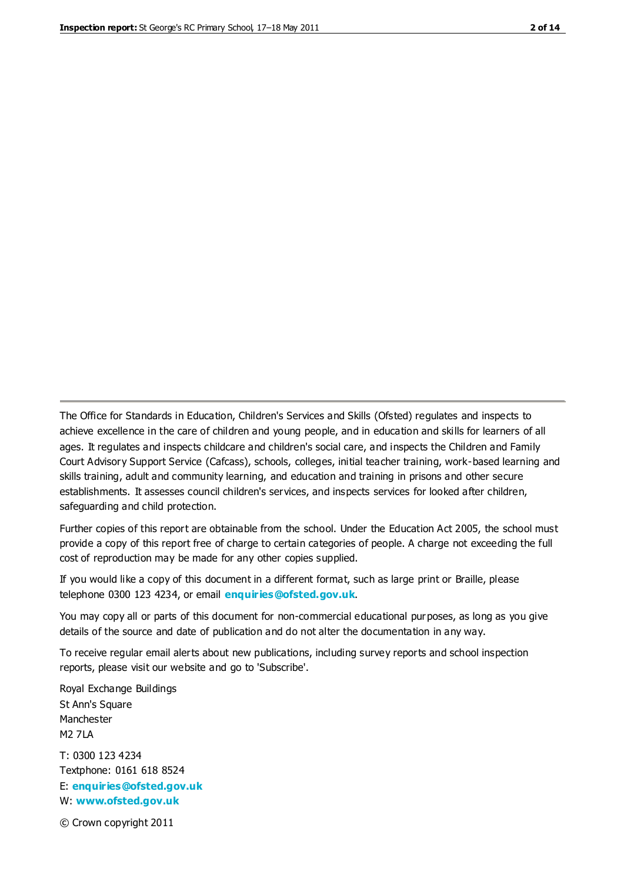The Office for Standards in Education, Children's Services and Skills (Ofsted) regulates and inspects to achieve excellence in the care of children and young people, and in education and skills for learners of all ages. It regulates and inspects childcare and children's social care, and inspects the Children and Family Court Advisory Support Service (Cafcass), schools, colleges, initial teacher training, work-based learning and skills training, adult and community learning, and education and training in prisons and other secure establishments. It assesses council children's services, and inspects services for looked after children, safeguarding and child protection.

Further copies of this report are obtainable from the school. Under the Education Act 2005, the school must provide a copy of this report free of charge to certain categories of people. A charge not exceeding the full cost of reproduction may be made for any other copies supplied.

If you would like a copy of this document in a different format, such as large print or Braille, please telephone 0300 123 4234, or email **[enquiries@ofsted.gov.uk](mailto:enquiries@ofsted.gov.uk)**.

You may copy all or parts of this document for non-commercial educational purposes, as long as you give details of the source and date of publication and do not alter the documentation in any way.

To receive regular email alerts about new publications, including survey reports and school inspection reports, please visit our website and go to 'Subscribe'.

Royal Exchange Buildings St Ann's Square Manchester M2 7LA T: 0300 123 4234 Textphone: 0161 618 8524 E: **[enquiries@ofsted.gov.uk](mailto:enquiries@ofsted.gov.uk)**

W: **[www.ofsted.gov.uk](http://www.ofsted.gov.uk/)**

© Crown copyright 2011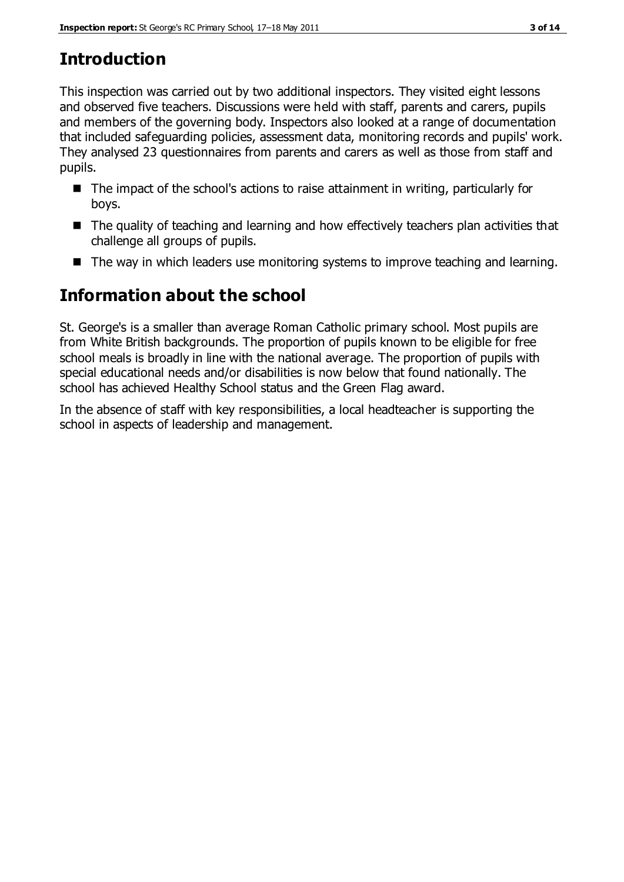# **Introduction**

This inspection was carried out by two additional inspectors. They visited eight lessons and observed five teachers. Discussions were held with staff, parents and carers, pupils and members of the governing body. Inspectors also looked at a range of documentation that included safeguarding policies, assessment data, monitoring records and pupils' work. They analysed 23 questionnaires from parents and carers as well as those from staff and pupils.

- $\blacksquare$  The impact of the school's actions to raise attainment in writing, particularly for boys.
- The quality of teaching and learning and how effectively teachers plan activities that challenge all groups of pupils.
- The way in which leaders use monitoring systems to improve teaching and learning.

### **Information about the school**

St. George's is a smaller than average Roman Catholic primary school. Most pupils are from White British backgrounds. The proportion of pupils known to be eligible for free school meals is broadly in line with the national average. The proportion of pupils with special educational needs and/or disabilities is now below that found nationally. The school has achieved Healthy School status and the Green Flag award.

In the absence of staff with key responsibilities, a local headteacher is supporting the school in aspects of leadership and management.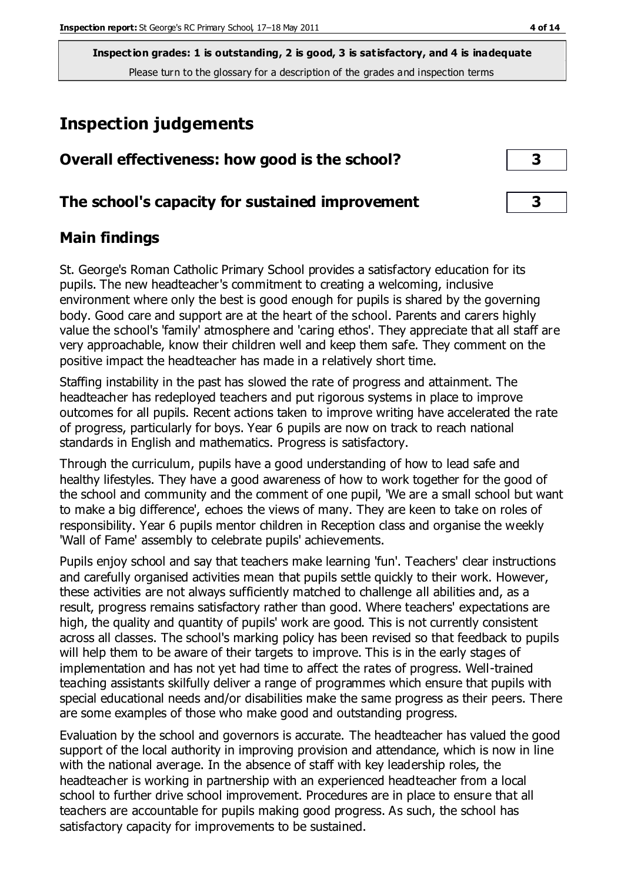**Inspection grades: 1 is outstanding, 2 is good, 3 is satisfactory, and 4 is inadequate** Please turn to the glossary for a description of the grades and inspection terms

## **Inspection judgements**

| Overall effectiveness: how good is the school?  |  |
|-------------------------------------------------|--|
| The school's capacity for sustained improvement |  |

#### **Main findings**

St. George's Roman Catholic Primary School provides a satisfactory education for its pupils. The new headteacher's commitment to creating a welcoming, inclusive environment where only the best is good enough for pupils is shared by the governing body. Good care and support are at the heart of the school. Parents and carers highly value the school's 'family' atmosphere and 'caring ethos'. They appreciate that all staff are very approachable, know their children well and keep them safe. They comment on the positive impact the headteacher has made in a relatively short time.

Staffing instability in the past has slowed the rate of progress and attainment. The headteacher has redeployed teachers and put rigorous systems in place to improve outcomes for all pupils. Recent actions taken to improve writing have accelerated the rate of progress, particularly for boys. Year 6 pupils are now on track to reach national standards in English and mathematics. Progress is satisfactory.

Through the curriculum, pupils have a good understanding of how to lead safe and healthy lifestyles. They have a good awareness of how to work together for the good of the school and community and the comment of one pupil, 'We are a small school but want to make a big difference', echoes the views of many. They are keen to take on roles of responsibility. Year 6 pupils mentor children in Reception class and organise the weekly 'Wall of Fame' assembly to celebrate pupils' achievements.

Pupils enjoy school and say that teachers make learning 'fun'. Teachers' clear instructions and carefully organised activities mean that pupils settle quickly to their work. However, these activities are not always sufficiently matched to challenge all abilities and, as a result, progress remains satisfactory rather than good. Where teachers' expectations are high, the quality and quantity of pupils' work are good. This is not currently consistent across all classes. The school's marking policy has been revised so that feedback to pupils will help them to be aware of their targets to improve. This is in the early stages of implementation and has not yet had time to affect the rates of progress. Well-trained teaching assistants skilfully deliver a range of programmes which ensure that pupils with special educational needs and/or disabilities make the same progress as their peers. There are some examples of those who make good and outstanding progress.

Evaluation by the school and governors is accurate. The headteacher has valued the good support of the local authority in improving provision and attendance, which is now in line with the national average. In the absence of staff with key leadership roles, the headteacher is working in partnership with an experienced headteacher from a local school to further drive school improvement. Procedures are in place to ensure that all teachers are accountable for pupils making good progress. As such, the school has satisfactory capacity for improvements to be sustained.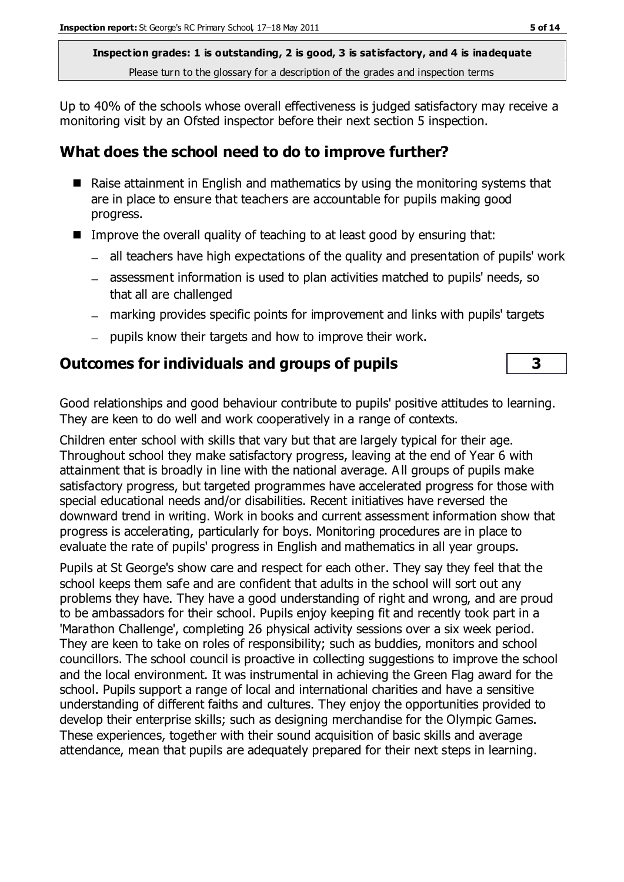**Inspection grades: 1 is outstanding, 2 is good, 3 is satisfactory, and 4 is inadequate** Please turn to the glossary for a description of the grades and inspection terms

Up to 40% of the schools whose overall effectiveness is judged satisfactory may receive a monitoring visit by an Ofsted inspector before their next section 5 inspection.

#### **What does the school need to do to improve further?**

- Raise attainment in English and mathematics by using the monitoring systems that are in place to ensure that teachers are accountable for pupils making good progress.
- Improve the overall quality of teaching to at least good by ensuring that:
	- all teachers have high expectations of the quality and presentation of pupils' work
	- assessment information is used to plan activities matched to pupils' needs, so that all are challenged
	- marking provides specific points for improvement and links with pupils' targets
	- $\equiv$ pupils know their targets and how to improve their work.

#### **Outcomes for individuals and groups of pupils 3**

Good relationships and good behaviour contribute to pupils' positive attitudes to learning. They are keen to do well and work cooperatively in a range of contexts.

Children enter school with skills that vary but that are largely typical for their age. Throughout school they make satisfactory progress, leaving at the end of Year 6 with attainment that is broadly in line with the national average. All groups of pupils make satisfactory progress, but targeted programmes have accelerated progress for those with special educational needs and/or disabilities. Recent initiatives have reversed the downward trend in writing. Work in books and current assessment information show that progress is accelerating, particularly for boys. Monitoring procedures are in place to evaluate the rate of pupils' progress in English and mathematics in all year groups.

Pupils at St George's show care and respect for each other. They say they feel that the school keeps them safe and are confident that adults in the school will sort out any problems they have. They have a good understanding of right and wrong, and are proud to be ambassadors for their school. Pupils enjoy keeping fit and recently took part in a 'Marathon Challenge', completing 26 physical activity sessions over a six week period. They are keen to take on roles of responsibility; such as buddies, monitors and school councillors. The school council is proactive in collecting suggestions to improve the school and the local environment. It was instrumental in achieving the Green Flag award for the school. Pupils support a range of local and international charities and have a sensitive understanding of different faiths and cultures. They enjoy the opportunities provided to develop their enterprise skills; such as designing merchandise for the Olympic Games. These experiences, together with their sound acquisition of basic skills and average attendance, mean that pupils are adequately prepared for their next steps in learning.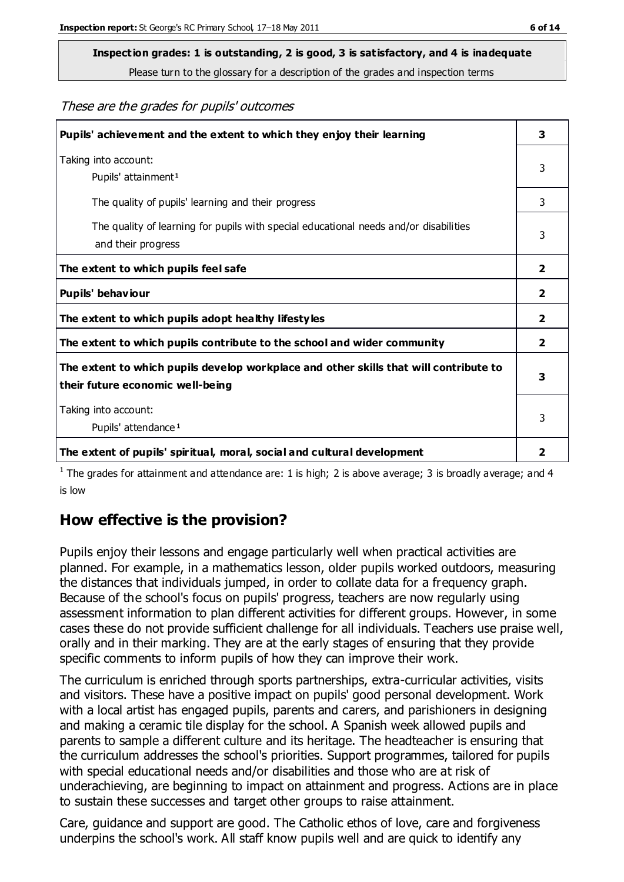Please turn to the glossary for a description of the grades and inspection terms

These are the grades for pupils' outcomes

| Pupils' achievement and the extent to which they enjoy their learning                                                     | 3                       |
|---------------------------------------------------------------------------------------------------------------------------|-------------------------|
| Taking into account:<br>Pupils' attainment <sup>1</sup>                                                                   | 3                       |
| The quality of pupils' learning and their progress                                                                        | 3                       |
| The quality of learning for pupils with special educational needs and/or disabilities<br>and their progress               | 3                       |
| The extent to which pupils feel safe                                                                                      | $\overline{\mathbf{2}}$ |
| Pupils' behaviour                                                                                                         | 2                       |
| The extent to which pupils adopt healthy lifestyles                                                                       | 2                       |
| The extent to which pupils contribute to the school and wider community                                                   | $\overline{2}$          |
| The extent to which pupils develop workplace and other skills that will contribute to<br>their future economic well-being |                         |
| Taking into account:<br>Pupils' attendance <sup>1</sup>                                                                   | 3                       |
| The extent of pupils' spiritual, moral, social and cultural development                                                   | 2                       |

<sup>1</sup> The grades for attainment and attendance are: 1 is high; 2 is above average; 3 is broadly average; and 4 is low

#### **How effective is the provision?**

Pupils enjoy their lessons and engage particularly well when practical activities are planned. For example, in a mathematics lesson, older pupils worked outdoors, measuring the distances that individuals jumped, in order to collate data for a frequency graph. Because of the school's focus on pupils' progress, teachers are now regularly using assessment information to plan different activities for different groups. However, in some cases these do not provide sufficient challenge for all individuals. Teachers use praise well, orally and in their marking. They are at the early stages of ensuring that they provide specific comments to inform pupils of how they can improve their work.

The curriculum is enriched through sports partnerships, extra-curricular activities, visits and visitors. These have a positive impact on pupils' good personal development. Work with a local artist has engaged pupils, parents and carers, and parishioners in designing and making a ceramic tile display for the school. A Spanish week allowed pupils and parents to sample a different culture and its heritage. The headteacher is ensuring that the curriculum addresses the school's priorities. Support programmes, tailored for pupils with special educational needs and/or disabilities and those who are at risk of underachieving, are beginning to impact on attainment and progress. Actions are in place to sustain these successes and target other groups to raise attainment.

Care, guidance and support are good. The Catholic ethos of love, care and forgiveness underpins the school's work. All staff know pupils well and are quick to identify any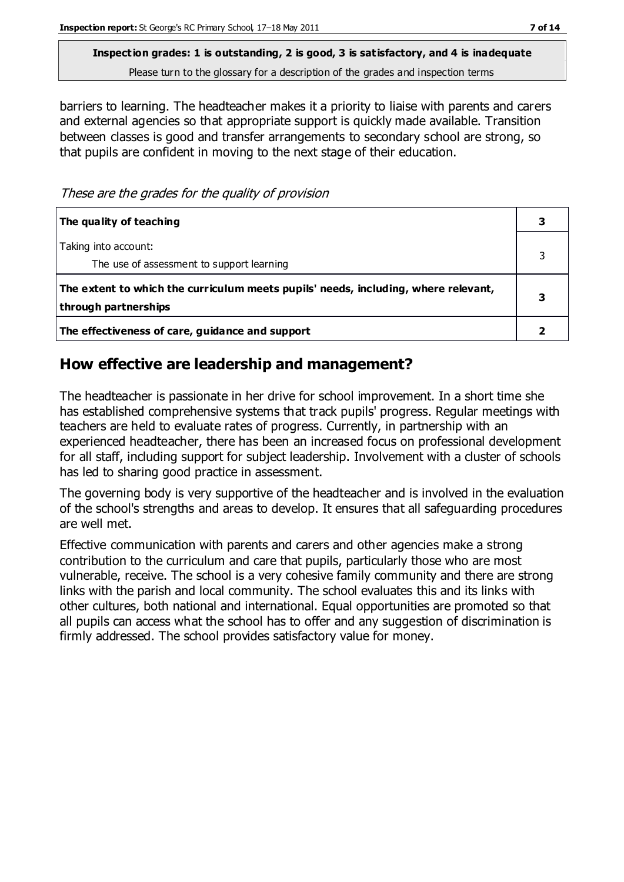Please turn to the glossary for a description of the grades and inspection terms

barriers to learning. The headteacher makes it a priority to liaise with parents and carers and external agencies so that appropriate support is quickly made available. Transition between classes is good and transfer arrangements to secondary school are strong, so that pupils are confident in moving to the next stage of their education.

These are the grades for the quality of provision

| The quality of teaching                                                                                    |  |
|------------------------------------------------------------------------------------------------------------|--|
| Taking into account:<br>The use of assessment to support learning                                          |  |
| The extent to which the curriculum meets pupils' needs, including, where relevant,<br>through partnerships |  |
| The effectiveness of care, guidance and support                                                            |  |

#### **How effective are leadership and management?**

The headteacher is passionate in her drive for school improvement. In a short time she has established comprehensive systems that track pupils' progress. Regular meetings with teachers are held to evaluate rates of progress. Currently, in partnership with an experienced headteacher, there has been an increased focus on professional development for all staff, including support for subject leadership. Involvement with a cluster of schools has led to sharing good practice in assessment.

The governing body is very supportive of the headteacher and is involved in the evaluation of the school's strengths and areas to develop. It ensures that all safeguarding procedures are well met.

Effective communication with parents and carers and other agencies make a strong contribution to the curriculum and care that pupils, particularly those who are most vulnerable, receive. The school is a very cohesive family community and there are strong links with the parish and local community. The school evaluates this and its links with other cultures, both national and international. Equal opportunities are promoted so that all pupils can access what the school has to offer and any suggestion of discrimination is firmly addressed. The school provides satisfactory value for money.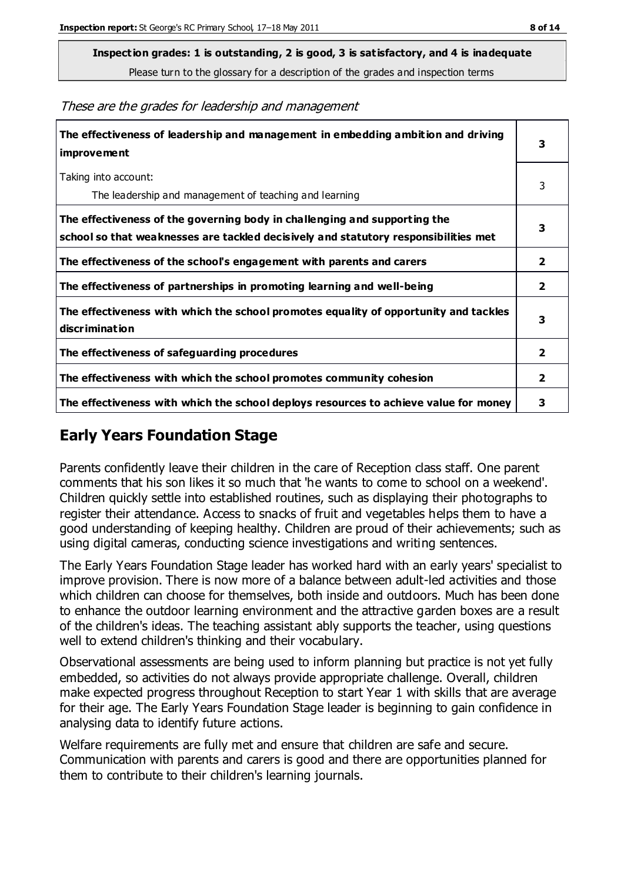Please turn to the glossary for a description of the grades and inspection terms

| The effectiveness of leadership and management in embedding ambition and driving<br>improvement                                                                  |                         |
|------------------------------------------------------------------------------------------------------------------------------------------------------------------|-------------------------|
| Taking into account:<br>The leadership and management of teaching and learning                                                                                   | 3                       |
| The effectiveness of the governing body in challenging and supporting the<br>school so that weaknesses are tackled decisively and statutory responsibilities met | 3                       |
| The effectiveness of the school's engagement with parents and carers                                                                                             | 2                       |
| The effectiveness of partnerships in promoting learning and well-being                                                                                           | 2                       |
| The effectiveness with which the school promotes equality of opportunity and tackles<br>discrimination                                                           | 3                       |
| The effectiveness of safeguarding procedures                                                                                                                     | 2                       |
| The effectiveness with which the school promotes community cohesion                                                                                              | $\overline{\mathbf{2}}$ |
| The effectiveness with which the school deploys resources to achieve value for money                                                                             | з                       |

#### **Early Years Foundation Stage**

Parents confidently leave their children in the care of Reception class staff. One parent comments that his son likes it so much that 'he wants to come to school on a weekend'. Children quickly settle into established routines, such as displaying their photographs to register their attendance. Access to snacks of fruit and vegetables helps them to have a good understanding of keeping healthy. Children are proud of their achievements; such as using digital cameras, conducting science investigations and writing sentences.

The Early Years Foundation Stage leader has worked hard with an early years' specialist to improve provision. There is now more of a balance between adult-led activities and those which children can choose for themselves, both inside and outdoors. Much has been done to enhance the outdoor learning environment and the attractive garden boxes are a result of the children's ideas. The teaching assistant ably supports the teacher, using questions well to extend children's thinking and their vocabulary.

Observational assessments are being used to inform planning but practice is not yet fully embedded, so activities do not always provide appropriate challenge. Overall, children make expected progress throughout Reception to start Year 1 with skills that are average for their age. The Early Years Foundation Stage leader is beginning to gain confidence in analysing data to identify future actions.

Welfare requirements are fully met and ensure that children are safe and secure. Communication with parents and carers is good and there are opportunities planned for them to contribute to their children's learning journals.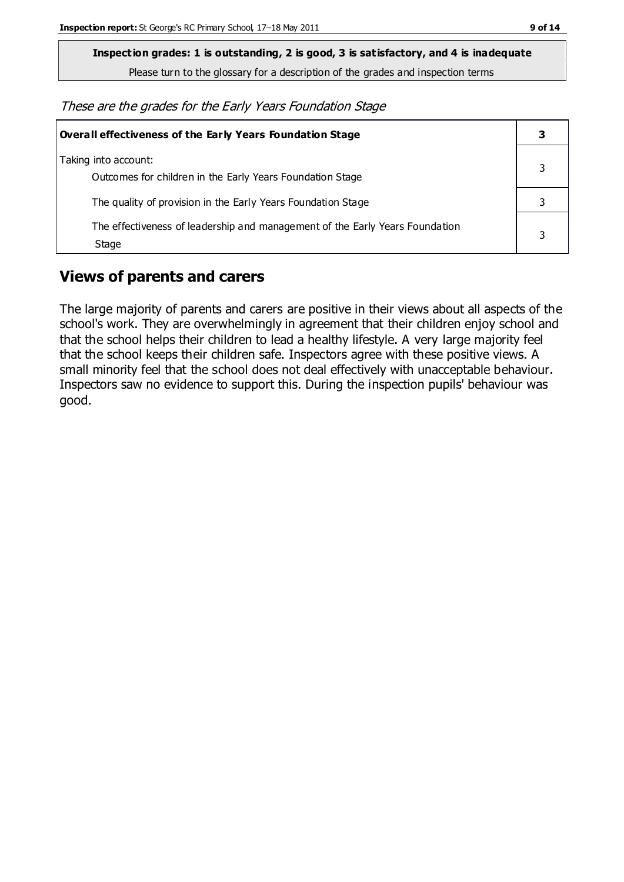Please turn to the glossary for a description of the grades and inspection terms

These are the grades for the Early Years Foundation Stage

| Overall effectiveness of the Early Years Foundation Stage                             |   |
|---------------------------------------------------------------------------------------|---|
| Taking into account:<br>Outcomes for children in the Early Years Foundation Stage     |   |
| The quality of provision in the Early Years Foundation Stage                          |   |
| The effectiveness of leadership and management of the Early Years Foundation<br>Stage | 3 |

#### **Views of parents and carers**

The large majority of parents and carers are positive in their views about all aspects of the school's work. They are overwhelmingly in agreement that their children enjoy school and that the school helps their children to lead a healthy lifestyle. A very large majority feel that the school keeps their children safe. Inspectors agree with these positive views. A small minority feel that the school does not deal effectively with unacceptable behaviour. Inspectors saw no evidence to support this. During the inspection pupils' behaviour was good.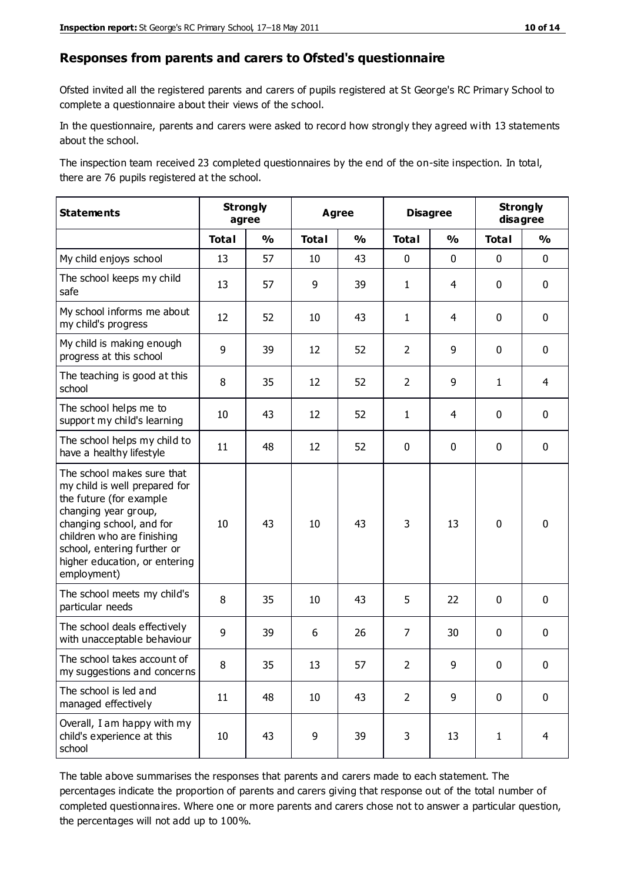#### **Responses from parents and carers to Ofsted's questionnaire**

Ofsted invited all the registered parents and carers of pupils registered at St George's RC Primary School to complete a questionnaire about their views of the school.

In the questionnaire, parents and carers were asked to record how strongly they agreed with 13 statements about the school.

The inspection team received 23 completed questionnaires by the end of the on-site inspection. In total, there are 76 pupils registered at the school.

| <b>Statements</b>                                                                                                                                                                                                                                       |                  | <b>Strongly</b><br>agree | <b>Agree</b> |               | <b>Disagree</b> |               | <b>Strongly</b><br>disagree |                |
|---------------------------------------------------------------------------------------------------------------------------------------------------------------------------------------------------------------------------------------------------------|------------------|--------------------------|--------------|---------------|-----------------|---------------|-----------------------------|----------------|
|                                                                                                                                                                                                                                                         | <b>Total</b>     | $\frac{0}{0}$            | <b>Total</b> | $\frac{1}{2}$ | <b>Total</b>    | $\frac{1}{2}$ | <b>Total</b>                | $\frac{1}{2}$  |
| My child enjoys school                                                                                                                                                                                                                                  | 13               | 57                       | 10           | 43            | 0               | 0             | $\mathbf 0$                 | $\mathbf 0$    |
| The school keeps my child<br>safe                                                                                                                                                                                                                       | 13               | 57                       | 9            | 39            | $\mathbf{1}$    | 4             | $\mathbf 0$                 | $\mathbf 0$    |
| My school informs me about<br>my child's progress                                                                                                                                                                                                       | 12               | 52                       | 10           | 43            | 1               | 4             | $\mathbf 0$                 | $\mathbf 0$    |
| My child is making enough<br>progress at this school                                                                                                                                                                                                    | $\boldsymbol{9}$ | 39                       | 12           | 52            | $\overline{2}$  | 9             | $\mathbf 0$                 | $\mathbf 0$    |
| The teaching is good at this<br>school                                                                                                                                                                                                                  | 8                | 35                       | 12           | 52            | $\overline{2}$  | 9             | $\mathbf{1}$                | $\overline{4}$ |
| The school helps me to<br>support my child's learning                                                                                                                                                                                                   | 10               | 43                       | 12           | 52            | 1               | 4             | 0                           | $\mathbf 0$    |
| The school helps my child to<br>have a healthy lifestyle                                                                                                                                                                                                | 11               | 48                       | 12           | 52            | 0               | 0             | 0                           | $\pmb{0}$      |
| The school makes sure that<br>my child is well prepared for<br>the future (for example<br>changing year group,<br>changing school, and for<br>children who are finishing<br>school, entering further or<br>higher education, or entering<br>employment) | 10               | 43                       | 10           | 43            | 3               | 13            | $\mathbf 0$                 | $\mathbf 0$    |
| The school meets my child's<br>particular needs                                                                                                                                                                                                         | 8                | 35                       | 10           | 43            | 5               | 22            | $\mathbf 0$                 | $\mathbf 0$    |
| The school deals effectively<br>with unacceptable behaviour                                                                                                                                                                                             | 9                | 39                       | 6            | 26            | $\overline{7}$  | 30            | $\mathbf 0$                 | $\mathbf 0$    |
| The school takes account of<br>my suggestions and concerns                                                                                                                                                                                              | 8                | 35                       | 13           | 57            | 2               | 9             | $\mathbf{0}$                | $\mathbf{0}$   |
| The school is led and<br>managed effectively                                                                                                                                                                                                            | 11               | 48                       | 10           | 43            | $\overline{2}$  | 9             | $\mathbf 0$                 | $\mathbf 0$    |
| Overall, I am happy with my<br>child's experience at this<br>school                                                                                                                                                                                     | 10               | 43                       | 9            | 39            | 3               | 13            | $\mathbf{1}$                | $\overline{4}$ |

The table above summarises the responses that parents and carers made to each statement. The percentages indicate the proportion of parents and carers giving that response out of the total number of completed questionnaires. Where one or more parents and carers chose not to answer a particular question, the percentages will not add up to 100%.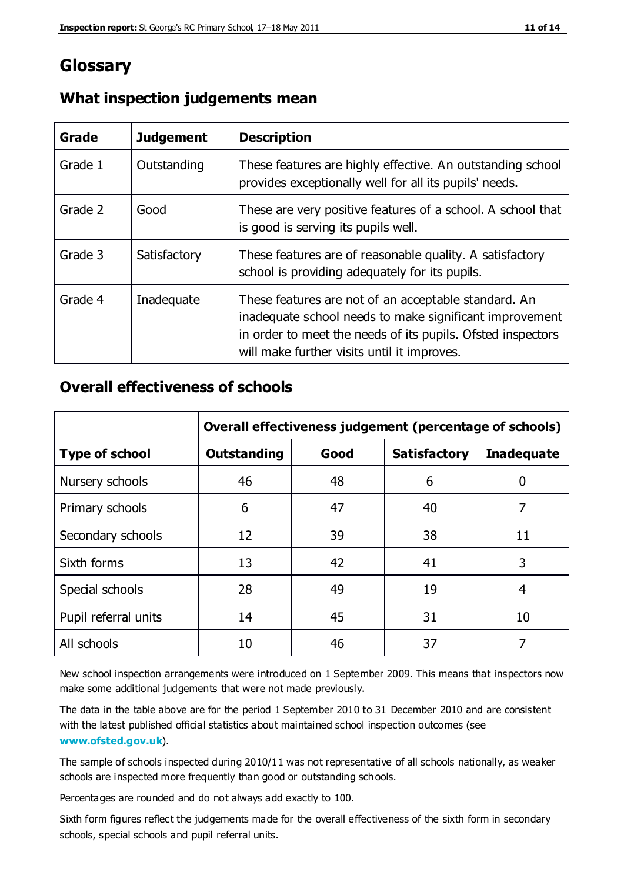#### **Glossary**

| Grade   | <b>Judgement</b> | <b>Description</b>                                                                                                                                                                                                            |
|---------|------------------|-------------------------------------------------------------------------------------------------------------------------------------------------------------------------------------------------------------------------------|
| Grade 1 | Outstanding      | These features are highly effective. An outstanding school<br>provides exceptionally well for all its pupils' needs.                                                                                                          |
| Grade 2 | Good             | These are very positive features of a school. A school that<br>is good is serving its pupils well.                                                                                                                            |
| Grade 3 | Satisfactory     | These features are of reasonable quality. A satisfactory<br>school is providing adequately for its pupils.                                                                                                                    |
| Grade 4 | Inadequate       | These features are not of an acceptable standard. An<br>inadequate school needs to make significant improvement<br>in order to meet the needs of its pupils. Ofsted inspectors<br>will make further visits until it improves. |

#### **What inspection judgements mean**

#### **Overall effectiveness of schools**

|                       | Overall effectiveness judgement (percentage of schools) |      |                     |                   |
|-----------------------|---------------------------------------------------------|------|---------------------|-------------------|
| <b>Type of school</b> | <b>Outstanding</b>                                      | Good | <b>Satisfactory</b> | <b>Inadequate</b> |
| Nursery schools       | 46                                                      | 48   | 6                   |                   |
| Primary schools       | 6                                                       | 47   | 40                  | 7                 |
| Secondary schools     | 12                                                      | 39   | 38                  | 11                |
| Sixth forms           | 13                                                      | 42   | 41                  | 3                 |
| Special schools       | 28                                                      | 49   | 19                  | 4                 |
| Pupil referral units  | 14                                                      | 45   | 31                  | 10                |
| All schools           | 10                                                      | 46   | 37                  |                   |

New school inspection arrangements were introduced on 1 September 2009. This means that inspectors now make some additional judgements that were not made previously.

The data in the table above are for the period 1 September 2010 to 31 December 2010 and are consistent with the latest published official statistics about maintained school inspection outcomes (see **[www.ofsted.gov.uk](http://www.ofsted.gov.uk/)**).

The sample of schools inspected during 2010/11 was not representative of all schools nationally, as weaker schools are inspected more frequently than good or outstanding schools.

Percentages are rounded and do not always add exactly to 100.

Sixth form figures reflect the judgements made for the overall effectiveness of the sixth form in secondary schools, special schools and pupil referral units.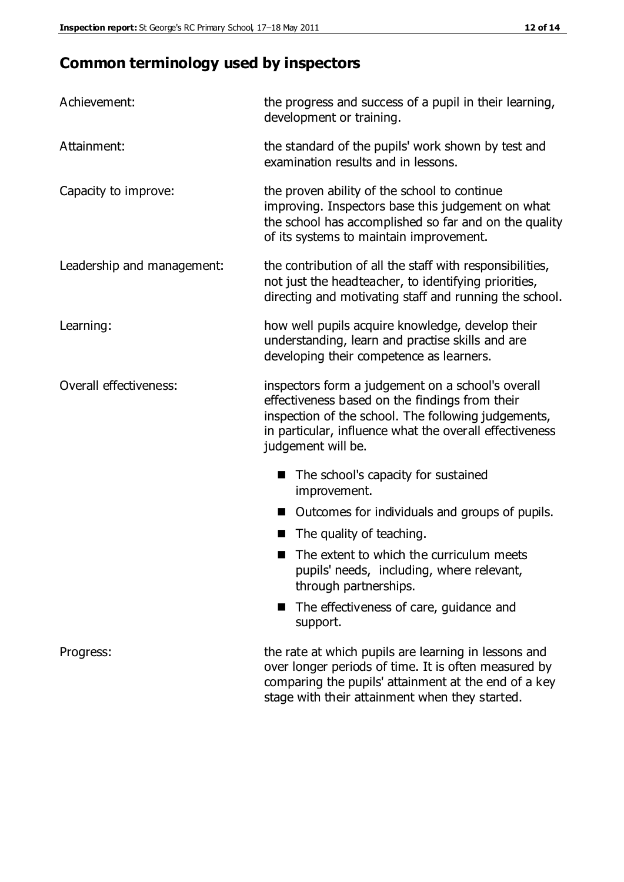## **Common terminology used by inspectors**

| Achievement:                  | the progress and success of a pupil in their learning,<br>development or training.                                                                                                                                                          |  |
|-------------------------------|---------------------------------------------------------------------------------------------------------------------------------------------------------------------------------------------------------------------------------------------|--|
| Attainment:                   | the standard of the pupils' work shown by test and<br>examination results and in lessons.                                                                                                                                                   |  |
| Capacity to improve:          | the proven ability of the school to continue<br>improving. Inspectors base this judgement on what<br>the school has accomplished so far and on the quality<br>of its systems to maintain improvement.                                       |  |
| Leadership and management:    | the contribution of all the staff with responsibilities,<br>not just the headteacher, to identifying priorities,<br>directing and motivating staff and running the school.                                                                  |  |
| Learning:                     | how well pupils acquire knowledge, develop their<br>understanding, learn and practise skills and are<br>developing their competence as learners.                                                                                            |  |
| <b>Overall effectiveness:</b> | inspectors form a judgement on a school's overall<br>effectiveness based on the findings from their<br>inspection of the school. The following judgements,<br>in particular, influence what the overall effectiveness<br>judgement will be. |  |
|                               | The school's capacity for sustained<br>improvement.                                                                                                                                                                                         |  |
|                               | Outcomes for individuals and groups of pupils.                                                                                                                                                                                              |  |
|                               | The quality of teaching.                                                                                                                                                                                                                    |  |
|                               | The extent to which the curriculum meets<br>pupils' needs, including, where relevant,<br>through partnerships.                                                                                                                              |  |
|                               | The effectiveness of care, guidance and<br>support.                                                                                                                                                                                         |  |
| Progress:                     | the rate at which pupils are learning in lessons and<br>over longer periods of time. It is often measured by<br>comparing the pupils' attainment at the end of a key                                                                        |  |

stage with their attainment when they started.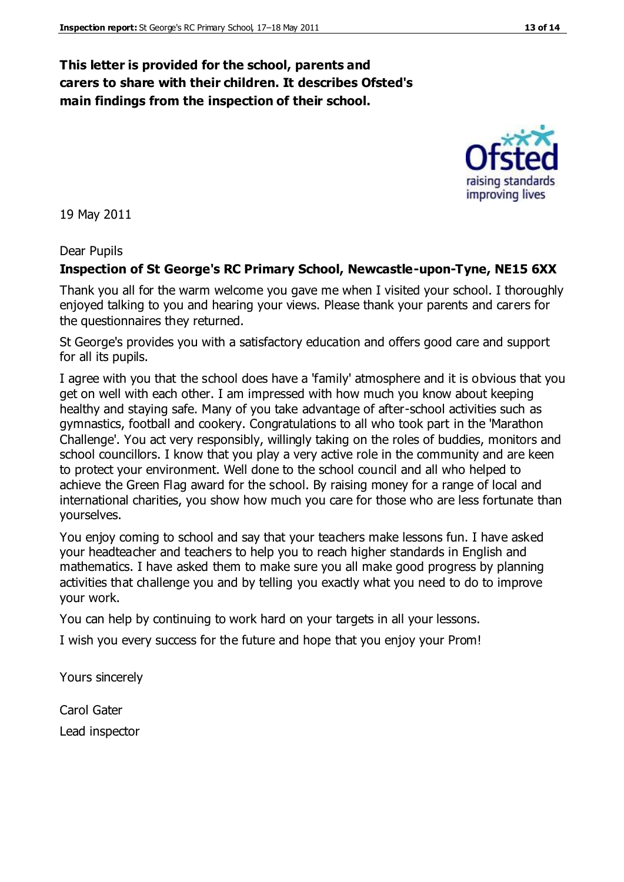#### **This letter is provided for the school, parents and carers to share with their children. It describes Ofsted's main findings from the inspection of their school.**

19 May 2011

#### Dear Pupils

#### **Inspection of St George's RC Primary School, Newcastle-upon-Tyne, NE15 6XX**

Thank you all for the warm welcome you gave me when I visited your school. I thoroughly enjoyed talking to you and hearing your views. Please thank your parents and carers for the questionnaires they returned.

St George's provides you with a satisfactory education and offers good care and support for all its pupils.

I agree with you that the school does have a 'family' atmosphere and it is obvious that you get on well with each other. I am impressed with how much you know about keeping healthy and staying safe. Many of you take advantage of after-school activities such as gymnastics, football and cookery. Congratulations to all who took part in the 'Marathon Challenge'. You act very responsibly, willingly taking on the roles of buddies, monitors and school councillors. I know that you play a very active role in the community and are keen to protect your environment. Well done to the school council and all who helped to achieve the Green Flag award for the school. By raising money for a range of local and international charities, you show how much you care for those who are less fortunate than yourselves.

You enjoy coming to school and say that your teachers make lessons fun. I have asked your headteacher and teachers to help you to reach higher standards in English and mathematics. I have asked them to make sure you all make good progress by planning activities that challenge you and by telling you exactly what you need to do to improve your work.

You can help by continuing to work hard on your targets in all your lessons.

I wish you every success for the future and hope that you enjoy your Prom!

Yours sincerely

Carol Gater Lead inspector